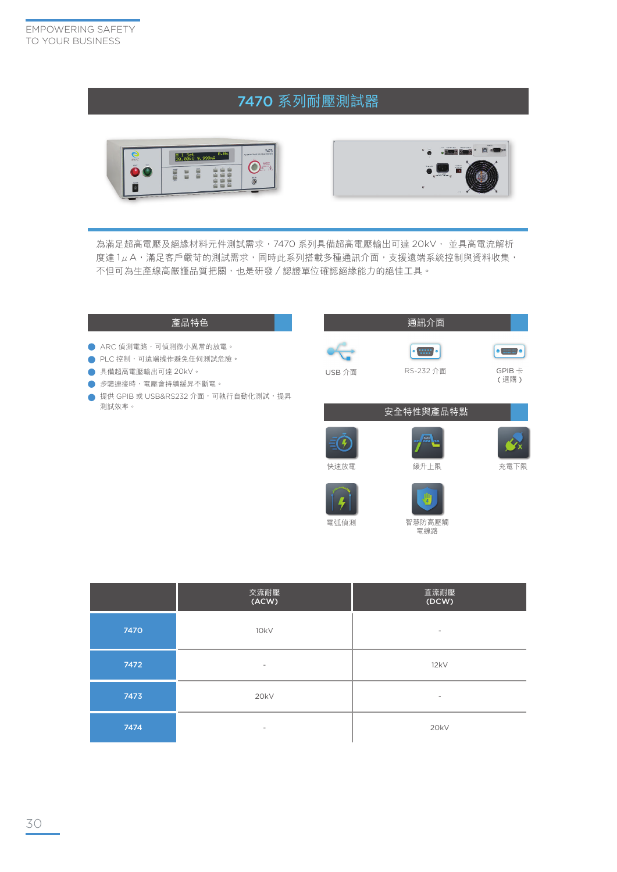## 7470 系列耐壓測試器





智慧防高壓觸 電線路

為滿足超高電壓及絕緣材料元件測試需求,7470 系列具備超高電壓輸出可達 20kV, 並具高電流解析 度達 1μA,滿足客戶嚴苛的測試需求,同時此系列搭載多種通訊介面,支援遠端系統控制與資料收集, 不但可為生產線高嚴謹品質把關,也是研發 / 認證單位確認絕緣能力的絕佳工具。

## 產品特色 通訊介面 **● ARC 偵測電路,可偵測微小異常的放電。**  $\vert \cdot \vert$  $\left[\bullet\right.\equiv\left.\bullet\right]$ **● PLC** 控制,可遠端操作避免任何測試危險。 USB 介面 RS-232 介面 GPIB 卡 **● 具備超高電壓輸出可達 20kV。** ( 選購 ) ● 步驟連接時,電壓會持續緩昇不斷電。 ● 提供 GPIB 或 USB&RS232 介面,可執行自動化測試,提昇 測試效率。安全特性與產品特點 Ģ 快速放電 緩升上限 充電下限

電弧偵測

|      | 交流耐壓<br>(ACW)            | 直流耐壓<br>(DCW)            |  |
|------|--------------------------|--------------------------|--|
| 7470 | 10kV                     | $\overline{\phantom{a}}$ |  |
| 7472 | $\overline{\phantom{a}}$ | 12kV                     |  |
| 7473 | 20kV                     |                          |  |
| 7474 | $\overline{\phantom{0}}$ | 20kV                     |  |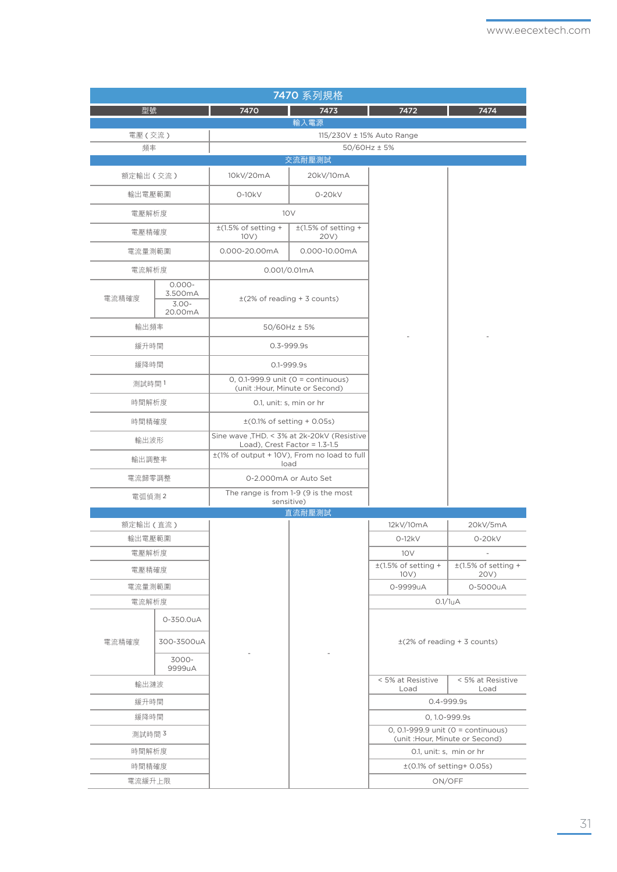| 7470 系列規格 |                                             |                                                                          |                                                                                |                                  |                                                                          |  |  |  |  |
|-----------|---------------------------------------------|--------------------------------------------------------------------------|--------------------------------------------------------------------------------|----------------------------------|--------------------------------------------------------------------------|--|--|--|--|
| 型號        |                                             | 7470                                                                     | 7473                                                                           | 7472                             | 7474                                                                     |  |  |  |  |
|           |                                             |                                                                          | 輸入電源                                                                           |                                  |                                                                          |  |  |  |  |
| 電壓 ( 交流 ) |                                             | 115/230V ± 15% Auto Range                                                |                                                                                |                                  |                                                                          |  |  |  |  |
| 頻率        |                                             | 50/60Hz ± 5%<br>交流耐壓測試                                                   |                                                                                |                                  |                                                                          |  |  |  |  |
| 額定輸出(交流)  |                                             | 10kV/20mA                                                                | 20kV/10mA                                                                      |                                  |                                                                          |  |  |  |  |
|           |                                             |                                                                          |                                                                                |                                  |                                                                          |  |  |  |  |
| 輸出電壓範圍    |                                             | $0-10kV$<br>$0-20kV$                                                     |                                                                                |                                  |                                                                          |  |  |  |  |
|           | 電壓解析度                                       |                                                                          | 10V                                                                            |                                  |                                                                          |  |  |  |  |
|           | 電壓精確度                                       |                                                                          | $\pm$ (1.5% of setting +<br>20V)                                               |                                  |                                                                          |  |  |  |  |
|           | 電流量測範圍                                      |                                                                          | 0.000-10.00mA                                                                  |                                  |                                                                          |  |  |  |  |
| 電流解析度     |                                             | 0.001/0.01mA                                                             |                                                                                |                                  |                                                                          |  |  |  |  |
| 電流精確度     | $0.000 -$<br>3.500mA<br>$3.00 -$<br>20.00mA | $\pm$ (2% of reading + 3 counts)                                         |                                                                                |                                  |                                                                          |  |  |  |  |
| 輸出頻率      |                                             | $50/60$ Hz $\pm$ 5%                                                      |                                                                                |                                  |                                                                          |  |  |  |  |
|           | 緩升時間                                        |                                                                          | 0.3-999.9s                                                                     |                                  |                                                                          |  |  |  |  |
| 緩降時間      |                                             |                                                                          | $0.1 - 999.9s$                                                                 |                                  |                                                                          |  |  |  |  |
| 測試時間1     |                                             | 0, 0.1-999.9 unit ( $0 =$ continuous)<br>(unit : Hour, Minute or Second) |                                                                                |                                  |                                                                          |  |  |  |  |
|           | 時間解析度                                       |                                                                          | 0.1, unit: s, min or hr                                                        |                                  |                                                                          |  |  |  |  |
| 時間精確度     |                                             | $\pm$ (0.1% of setting + 0.05s)                                          |                                                                                |                                  |                                                                          |  |  |  |  |
|           | 輸出波形                                        |                                                                          | Sine wave , THD. < 3% at 2k-20kV (Resistive<br>Load), Crest Factor = $1.3-1.5$ |                                  |                                                                          |  |  |  |  |
|           | 輸出調整率                                       |                                                                          | ±(1% of output + 10V), From no load to full<br>load                            |                                  |                                                                          |  |  |  |  |
|           | 電流歸零調整                                      |                                                                          | 0-2.000mA or Auto Set                                                          |                                  |                                                                          |  |  |  |  |
| 電弧偵測2     |                                             | The range is from 1-9 (9 is the most<br>sensitive)                       |                                                                                |                                  |                                                                          |  |  |  |  |
|           |                                             |                                                                          | 直流耐壓測試                                                                         |                                  |                                                                          |  |  |  |  |
| 額定輸出(直流)  |                                             |                                                                          |                                                                                | 12kV/10mA                        | 20kV/5mA                                                                 |  |  |  |  |
|           | 輸出電壓範圍                                      |                                                                          |                                                                                | $0-12kV$                         | $0-20kV$                                                                 |  |  |  |  |
|           | 電壓解析度<br>電壓精確度                              |                                                                          |                                                                                | 10 V<br>$\pm$ (1.5% of setting + | $\pm$ (1.5% of setting +                                                 |  |  |  |  |
|           |                                             |                                                                          |                                                                                | 10V)<br>0-9999uA                 | 20V)<br>0-5000uA                                                         |  |  |  |  |
|           | 電流量測範圍<br>電流解析度                             |                                                                          |                                                                                |                                  | 0.1/1 uA                                                                 |  |  |  |  |
|           | 0-350.0uA                                   |                                                                          |                                                                                |                                  |                                                                          |  |  |  |  |
| 電流精確度     | 300-3500uA                                  |                                                                          |                                                                                | $\pm$ (2% of reading + 3 counts) |                                                                          |  |  |  |  |
|           | 3000-<br>9999uA                             |                                                                          |                                                                                |                                  |                                                                          |  |  |  |  |
| 輸出漣波      |                                             |                                                                          |                                                                                | < 5% at Resistive                | < 5% at Resistive                                                        |  |  |  |  |
| 緩升時間      |                                             |                                                                          |                                                                                | Load                             | Load<br>0.4-999.9s                                                       |  |  |  |  |
| 緩降時間      |                                             |                                                                          |                                                                                |                                  | 0, 1.0-999.9s                                                            |  |  |  |  |
| 測試時間 3    |                                             |                                                                          |                                                                                |                                  | 0, 0.1-999.9 unit ( $0 =$ continuous)<br>(unit : Hour, Minute or Second) |  |  |  |  |
| 時間解析度     |                                             |                                                                          |                                                                                |                                  | 0.1, unit: s, min or hr                                                  |  |  |  |  |
| 時間精確度     |                                             |                                                                          |                                                                                |                                  | $\pm$ (0.1% of setting+0.05s)                                            |  |  |  |  |
| 電流緩升上限    |                                             |                                                                          |                                                                                |                                  | ON/OFF                                                                   |  |  |  |  |